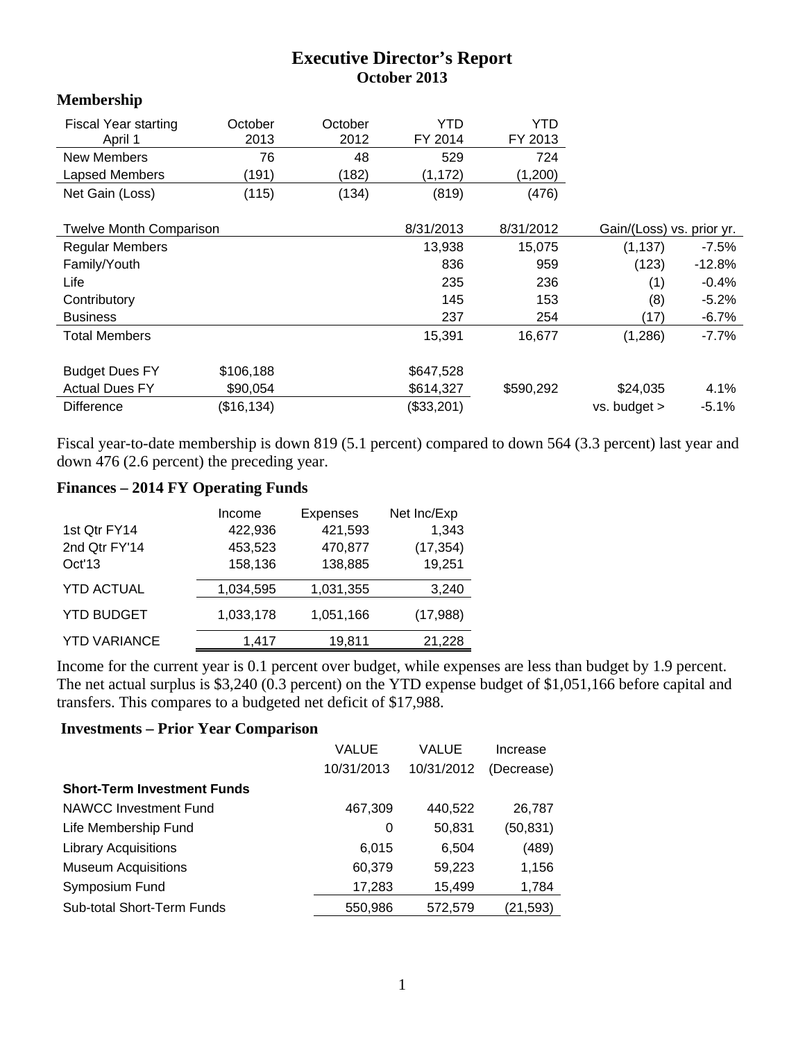## **Executive Director's Report October 2013**

## **Membership**

| <b>Fiscal Year starting</b><br>April 1 | October<br>2013 | October<br>2012 | YTD<br>FY 2014 | YTD<br>FY 2013 |                           |          |
|----------------------------------------|-----------------|-----------------|----------------|----------------|---------------------------|----------|
| <b>New Members</b>                     | 76              | 48              | 529            | 724            |                           |          |
| Lapsed Members                         | (191)           | (182)           | (1, 172)       | (1,200)        |                           |          |
| Net Gain (Loss)                        | (115)           | (134)           | (819)          | (476)          |                           |          |
| <b>Twelve Month Comparison</b>         |                 |                 | 8/31/2013      | 8/31/2012      | Gain/(Loss) vs. prior yr. |          |
| <b>Regular Members</b>                 |                 |                 | 13,938         | 15,075         | (1, 137)                  | $-7.5\%$ |
| Family/Youth                           |                 |                 | 836            | 959            | (123)                     | -12.8%   |
| Life                                   |                 |                 | 235            | 236            | (1)                       | $-0.4%$  |
| Contributory                           |                 |                 | 145            | 153            | (8)                       | $-5.2%$  |
| <b>Business</b>                        |                 |                 | 237            | 254            | (17)                      | $-6.7\%$ |
| <b>Total Members</b>                   |                 |                 | 15,391         | 16,677         | (1,286)                   | $-7.7%$  |
| <b>Budget Dues FY</b>                  | \$106,188       |                 | \$647,528      |                |                           |          |
| <b>Actual Dues FY</b>                  | \$90,054        |                 | \$614,327      | \$590,292      | \$24,035                  | 4.1%     |
| <b>Difference</b>                      | (\$16, 134)     |                 | (\$33,201)     |                | vs. budget >              | $-5.1%$  |

Fiscal year-to-date membership is down 819 (5.1 percent) compared to down 564 (3.3 percent) last year and down 476 (2.6 percent) the preceding year.

## **Finances – 2014 FY Operating Funds**

|                     | Income    | <b>Expenses</b> | Net Inc/Exp |
|---------------------|-----------|-----------------|-------------|
| 1st Qtr FY14        | 422,936   | 421,593         | 1,343       |
| 2nd Qtr FY'14       | 453,523   | 470,877         | (17, 354)   |
| Oct'13              | 158,136   | 138,885         | 19,251      |
| <b>YTD ACTUAL</b>   | 1,034,595 | 1,031,355       | 3,240       |
| <b>YTD BUDGET</b>   | 1,033,178 | 1,051,166       | (17, 988)   |
| <b>YTD VARIANCE</b> | 1,417     | 19,811          | 21,228      |

Income for the current year is 0.1 percent over budget, while expenses are less than budget by 1.9 percent. The net actual surplus is \$3,240 (0.3 percent) on the YTD expense budget of \$1,051,166 before capital and transfers. This compares to a budgeted net deficit of \$17,988.

## **Investments – Prior Year Comparison**

|                                    | VALUE<br>VALUE |            | Increase   |  |
|------------------------------------|----------------|------------|------------|--|
|                                    | 10/31/2013     | 10/31/2012 | (Decrease) |  |
| <b>Short-Term Investment Funds</b> |                |            |            |  |
| <b>NAWCC Investment Fund</b>       | 467,309        | 440,522    | 26,787     |  |
| Life Membership Fund               | 0              | 50,831     | (50, 831)  |  |
| <b>Library Acquisitions</b>        | 6,015          | 6,504      | (489)      |  |
| <b>Museum Acquisitions</b>         | 60,379         | 59,223     | 1,156      |  |
| Symposium Fund                     | 17,283         | 15,499     | 1,784      |  |
| Sub-total Short-Term Funds         | 550,986        | 572,579    | (21,593)   |  |